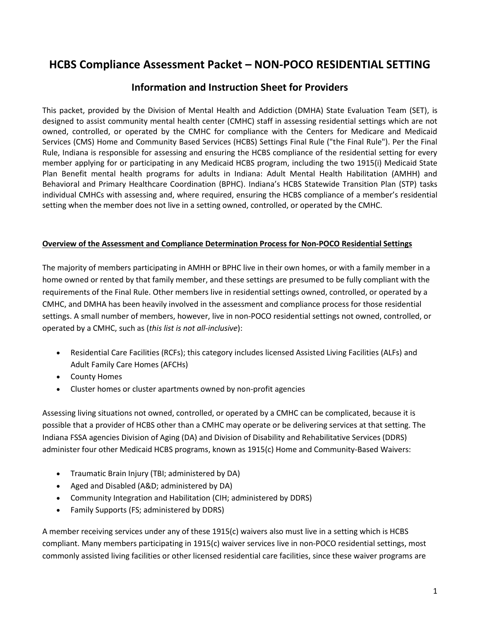# **HCBS Compliance Assessment Packet – NON-POCO RESIDENTIAL SETTING**

## **Information and Instruction Sheet for Providers**

This packet, provided by the Division of Mental Health and Addiction (DMHA) State Evaluation Team (SET), is designed to assist community mental health center (CMHC) staff in assessing residential settings which are not owned, controlled, or operated by the CMHC for compliance with the Centers for Medicare and Medicaid Services (CMS) Home and Community Based Services (HCBS) Settings Final Rule ("the Final Rule"). Per the Final Rule, Indiana is responsible for assessing and ensuring the HCBS compliance of the residential setting for every member applying for or participating in any Medicaid HCBS program, including the two 1915(i) Medicaid State Plan Benefit mental health programs for adults in Indiana: Adult Mental Health Habilitation (AMHH) and Behavioral and Primary Healthcare Coordination (BPHC). Indiana's HCBS Statewide Transition Plan (STP) tasks individual CMHCs with assessing and, where required, ensuring the HCBS compliance of a member's residential setting when the member does not live in a setting owned, controlled, or operated by the CMHC.

#### **Overview of the Assessment and Compliance Determination Process for Non-POCO Residential Settings**

The majority of members participating in AMHH or BPHC live in their own homes, or with a family member in a home owned or rented by that family member, and these settings are presumed to be fully compliant with the requirements of the Final Rule. Other members live in residential settings owned, controlled, or operated by a CMHC, and DMHA has been heavily involved in the assessment and compliance process for those residential settings. A small number of members, however, live in non-POCO residential settings not owned, controlled, or operated by a CMHC, such as (*this list is not all-inclusive*):

- Residential Care Facilities (RCFs); this category includes licensed Assisted Living Facilities (ALFs) and Adult Family Care Homes (AFCHs)
- County Homes
- Cluster homes or cluster apartments owned by non-profit agencies

Assessing living situations not owned, controlled, or operated by a CMHC can be complicated, because it is possible that a provider of HCBS other than a CMHC may operate or be delivering services at that setting. The Indiana FSSA agencies Division of Aging (DA) and Division of Disability and Rehabilitative Services (DDRS) administer four other Medicaid HCBS programs, known as 1915(c) Home and Community-Based Waivers:

- Traumatic Brain Injury (TBI; administered by DA)
- Aged and Disabled (A&D; administered by DA)
- Community Integration and Habilitation (CIH; administered by DDRS)
- Family Supports (FS; administered by DDRS)

A member receiving services under any of these 1915(c) waivers also must live in a setting which is HCBS compliant. Many members participating in 1915(c) waiver services live in non-POCO residential settings, most commonly assisted living facilities or other licensed residential care facilities, since these waiver programs are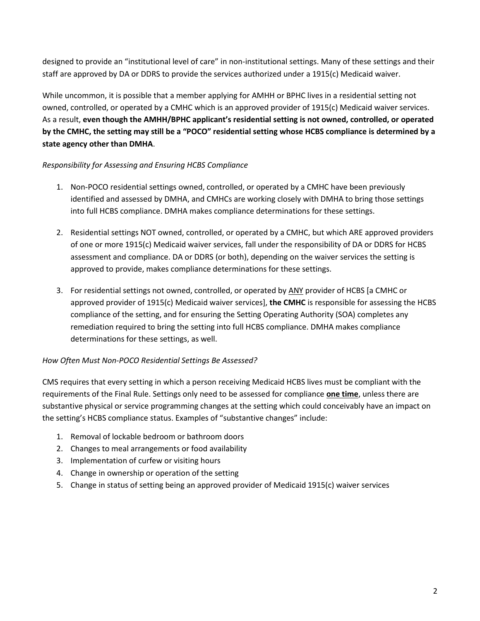designed to provide an "institutional level of care" in non-institutional settings. Many of these settings and their staff are approved by DA or DDRS to provide the services authorized under a 1915(c) Medicaid waiver.

While uncommon, it is possible that a member applying for AMHH or BPHC lives in a residential setting not owned, controlled, or operated by a CMHC which is an approved provider of 1915(c) Medicaid waiver services. As a result, **even though the AMHH/BPHC applicant's residential setting is not owned, controlled, or operated by the CMHC, the setting may still be a "POCO" residential setting whose HCBS compliance is determined by a state agency other than DMHA**.

## *Responsibility for Assessing and Ensuring HCBS Compliance*

- 1. Non-POCO residential settings owned, controlled, or operated by a CMHC have been previously identified and assessed by DMHA, and CMHCs are working closely with DMHA to bring those settings into full HCBS compliance. DMHA makes compliance determinations for these settings.
- 2. Residential settings NOT owned, controlled, or operated by a CMHC, but which ARE approved providers of one or more 1915(c) Medicaid waiver services, fall under the responsibility of DA or DDRS for HCBS assessment and compliance. DA or DDRS (or both), depending on the waiver services the setting is approved to provide, makes compliance determinations for these settings.
- 3. For residential settings not owned, controlled, or operated by ANY provider of HCBS [a CMHC or approved provider of 1915(c) Medicaid waiver services], **the CMHC** is responsible for assessing the HCBS compliance of the setting, and for ensuring the Setting Operating Authority (SOA) completes any remediation required to bring the setting into full HCBS compliance. DMHA makes compliance determinations for these settings, as well.

## *How Often Must Non-POCO Residential Settings Be Assessed?*

CMS requires that every setting in which a person receiving Medicaid HCBS lives must be compliant with the requirements of the Final Rule. Settings only need to be assessed for compliance **one time**, unless there are substantive physical or service programming changes at the setting which could conceivably have an impact on the setting's HCBS compliance status. Examples of "substantive changes" include:

- 1. Removal of lockable bedroom or bathroom doors
- 2. Changes to meal arrangements or food availability
- 3. Implementation of curfew or visiting hours
- 4. Change in ownership or operation of the setting
- 5. Change in status of setting being an approved provider of Medicaid 1915(c) waiver services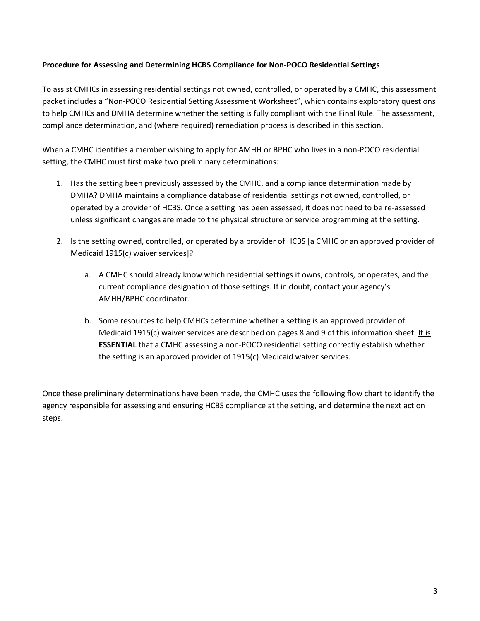#### **Procedure for Assessing and Determining HCBS Compliance for Non-POCO Residential Settings**

To assist CMHCs in assessing residential settings not owned, controlled, or operated by a CMHC, this assessment packet includes a "Non-POCO Residential Setting Assessment Worksheet", which contains exploratory questions to help CMHCs and DMHA determine whether the setting is fully compliant with the Final Rule. The assessment, compliance determination, and (where required) remediation process is described in this section.

When a CMHC identifies a member wishing to apply for AMHH or BPHC who lives in a non-POCO residential setting, the CMHC must first make two preliminary determinations:

- 1. Has the setting been previously assessed by the CMHC, and a compliance determination made by DMHA? DMHA maintains a compliance database of residential settings not owned, controlled, or operated by a provider of HCBS. Once a setting has been assessed, it does not need to be re-assessed unless significant changes are made to the physical structure or service programming at the setting.
- 2. Is the setting owned, controlled, or operated by a provider of HCBS [a CMHC or an approved provider of Medicaid 1915(c) waiver services]?
	- a. A CMHC should already know which residential settings it owns, controls, or operates, and the current compliance designation of those settings. If in doubt, contact your agency's AMHH/BPHC coordinator.
	- b. Some resources to help CMHCs determine whether a setting is an approved provider of Medicaid 1915(c) waiver services are described on pages 8 and 9 of this information sheet. It is **ESSENTIAL** that a CMHC assessing a non-POCO residential setting correctly establish whether the setting is an approved provider of 1915(c) Medicaid waiver services.

Once these preliminary determinations have been made, the CMHC uses the following flow chart to identify the agency responsible for assessing and ensuring HCBS compliance at the setting, and determine the next action steps.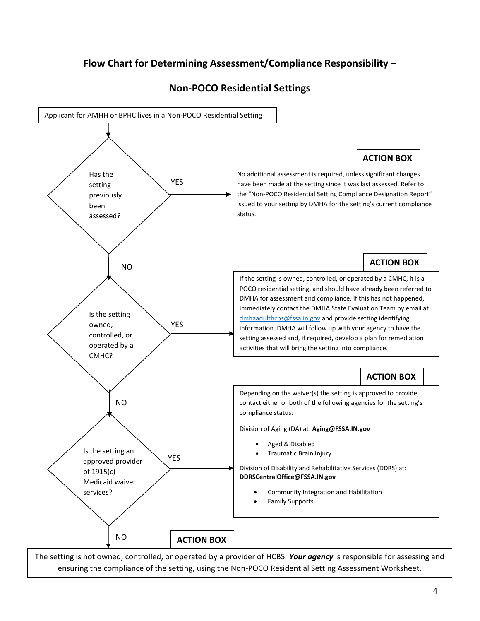# **Flow Chart for Determining Assessment/Compliance Responsibility –**



## **Non-POCO Residential Settings**

The setting is not owned, controlled, or operated by a provider of HCBS. *Your agency* is responsible for assessing and ensuring the compliance of the setting, using the Non-POCO Residential Setting Assessment Worksheet.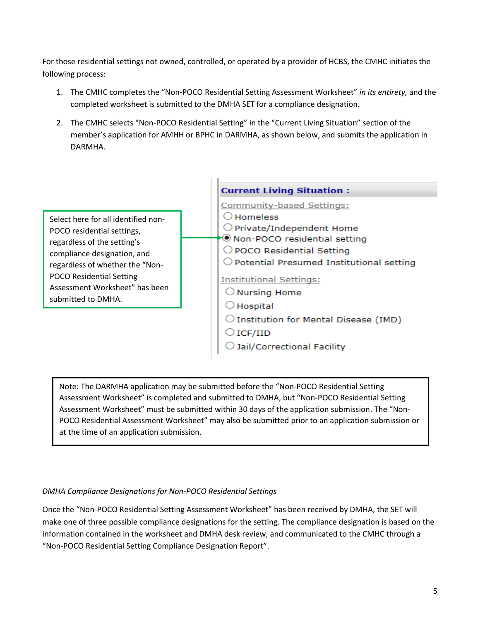For those residential settings not owned, controlled, or operated by a provider of HCBS, the CMHC initiates the following process:

- 1. The CMHC completes the "Non-POCO Residential Setting Assessment Worksheet" *in its entirety,* and the completed worksheet is submitted to the DMHA SET for a compliance designation.
- 2. The CMHC selects "Non-POCO Residential Setting" in the "Current Living Situation" section of the member's application for AMHH or BPHC in DARMHA, as shown below, and submits the application in DARMHA.



Note: The DARMHA application may be submitted before the "Non-POCO Residential Setting Assessment Worksheet" is completed and submitted to DMHA, but "Non-POCO Residential Setting Assessment Worksheet" must be submitted within 30 days of the application submission. The "Non-POCO Residential Assessment Worksheet" may also be submitted prior to an application submission or at the time of an application submission.

## *DMHA Compliance Designations for Non-POCO Residential Settings*

Once the "Non-POCO Residential Setting Assessment Worksheet" has been received by DMHA, the SET will make one of three possible compliance designations for the setting. The compliance designation is based on the information contained in the worksheet and DMHA desk review, and communicated to the CMHC through a "Non-POCO Residential Setting Compliance Designation Report".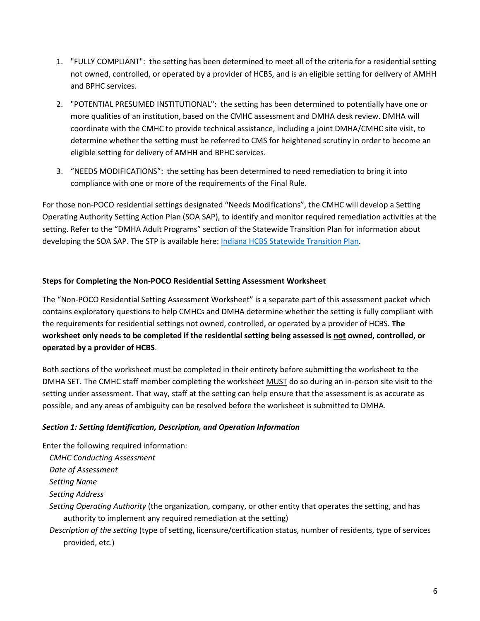- 1. "FULLY COMPLIANT": the setting has been determined to meet all of the criteria for a residential setting not owned, controlled, or operated by a provider of HCBS, and is an eligible setting for delivery of AMHH and BPHC services.
- 2. "POTENTIAL PRESUMED INSTITUTIONAL": the setting has been determined to potentially have one or more qualities of an institution, based on the CMHC assessment and DMHA desk review. DMHA will coordinate with the CMHC to provide technical assistance, including a joint DMHA/CMHC site visit, to determine whether the setting must be referred to CMS for heightened scrutiny in order to become an eligible setting for delivery of AMHH and BPHC services.
- 3. "NEEDS MODIFICATIONS": the setting has been determined to need remediation to bring it into compliance with one or more of the requirements of the Final Rule.

For those non-POCO residential settings designated "Needs Modifications", the CMHC will develop a Setting Operating Authority Setting Action Plan (SOA SAP), to identify and monitor required remediation activities at the setting. Refer to the "DMHA Adult Programs" section of the Statewide Transition Plan for information about developing the SOA SAP. The STP is available here: [Indiana HCBS Statewide Transition Plan.](http://www.in.gov/fssa/files/IN%20FSSA%20HCBS%20STP%20-%20Version%206-%202017-01-17.pdf)

#### **Steps for Completing the Non-POCO Residential Setting Assessment Worksheet**

The "Non-POCO Residential Setting Assessment Worksheet" is a separate part of this assessment packet which contains exploratory questions to help CMHCs and DMHA determine whether the setting is fully compliant with the requirements for residential settings not owned, controlled, or operated by a provider of HCBS. **The worksheet only needs to be completed if the residential setting being assessed is not owned, controlled, or operated by a provider of HCBS**.

Both sections of the worksheet must be completed in their entirety before submitting the worksheet to the DMHA SET. The CMHC staff member completing the worksheet MUST do so during an in-person site visit to the setting under assessment. That way, staff at the setting can help ensure that the assessment is as accurate as possible, and any areas of ambiguity can be resolved before the worksheet is submitted to DMHA.

#### *Section 1: Setting Identification, Description, and Operation Information*

Enter the following required information:

- *CMHC Conducting Assessment*
- *Date of Assessment*
- *Setting Name*

*Setting Address*

*Setting Operating Authority* (the organization, company, or other entity that operates the setting, and has authority to implement any required remediation at the setting)

*Description of the setting* (type of setting, licensure/certification status, number of residents, type of services provided, etc.)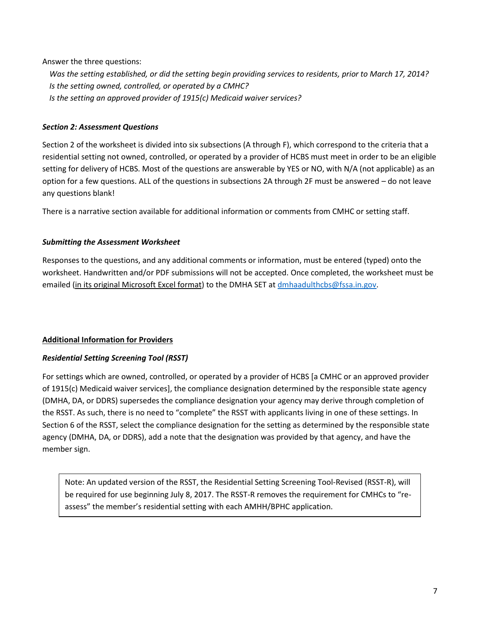#### Answer the three questions:

*Was the setting established, or did the setting begin providing services to residents, prior to March 17, 2014? Is the setting owned, controlled, or operated by a CMHC? Is the setting an approved provider of 1915(c) Medicaid waiver services?* 

#### *Section 2: Assessment Questions*

Section 2 of the worksheet is divided into six subsections (A through F), which correspond to the criteria that a residential setting not owned, controlled, or operated by a provider of HCBS must meet in order to be an eligible setting for delivery of HCBS. Most of the questions are answerable by YES or NO, with N/A (not applicable) as an option for a few questions. ALL of the questions in subsections 2A through 2F must be answered – do not leave any questions blank!

There is a narrative section available for additional information or comments from CMHC or setting staff.

#### *Submitting the Assessment Worksheet*

Responses to the questions, and any additional comments or information, must be entered (typed) onto the worksheet. Handwritten and/or PDF submissions will not be accepted. Once completed, the worksheet must be emailed (in its original Microsoft Excel format) to the DMHA SET at [dmhaadulthcbs@fssa.in.gov.](mailto:dmhaadulthcbs@fssa.in.gov)

#### **Additional Information for Providers**

#### *Residential Setting Screening Tool (RSST)*

For settings which are owned, controlled, or operated by a provider of HCBS [a CMHC or an approved provider of 1915(c) Medicaid waiver services], the compliance designation determined by the responsible state agency (DMHA, DA, or DDRS) supersedes the compliance designation your agency may derive through completion of the RSST. As such, there is no need to "complete" the RSST with applicants living in one of these settings. In Section 6 of the RSST, select the compliance designation for the setting as determined by the responsible state agency (DMHA, DA, or DDRS), add a note that the designation was provided by that agency, and have the member sign.

Note: An updated version of the RSST, the Residential Setting Screening Tool-Revised (RSST-R), will be required for use beginning July 8, 2017. The RSST-R removes the requirement for CMHCs to "reassess" the member's residential setting with each AMHH/BPHC application.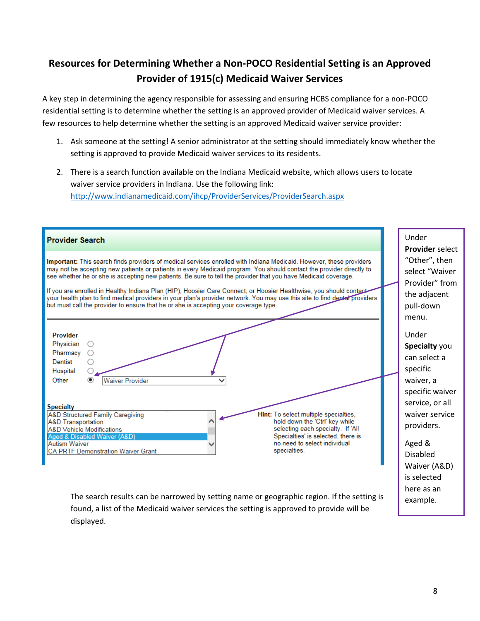# **Resources for Determining Whether a Non-POCO Residential Setting is an Approved Provider of 1915(c) Medicaid Waiver Services**

A key step in determining the agency responsible for assessing and ensuring HCBS compliance for a non-POCO residential setting is to determine whether the setting is an approved provider of Medicaid waiver services. A few resources to help determine whether the setting is an approved Medicaid waiver service provider:

- 1. Ask someone at the setting! A senior administrator at the setting should immediately know whether the setting is approved to provide Medicaid waiver services to its residents.
- 2. There is a search function available on the Indiana Medicaid website, which allows users to locate waiver service providers in Indiana. Use the following link: <http://www.indianamedicaid.com/ihcp/ProviderServices/ProviderSearch.aspx>

| <b>Provider Search</b>                                                                                                                                                                                                                                                                                                                                                                                                                                                                                                                                                                                                                                                                                    | Under<br><b>Provider select</b>                                                         |
|-----------------------------------------------------------------------------------------------------------------------------------------------------------------------------------------------------------------------------------------------------------------------------------------------------------------------------------------------------------------------------------------------------------------------------------------------------------------------------------------------------------------------------------------------------------------------------------------------------------------------------------------------------------------------------------------------------------|-----------------------------------------------------------------------------------------|
| Important: This search finds providers of medical services enrolled with Indiana Medicaid. However, these providers<br>may not be accepting new patients or patients in every Medicaid program. You should contact the provider directly to<br>see whether he or she is accepting new patients. Be sure to tell the provider that you have Medicaid coverage.<br>If you are enrolled in Healthy Indiana Plan (HIP), Hoosier Care Connect, or Hoosier Healthwise, you should contact<br>your health plan to find medical providers in your plan's provider network. You may use this site to find deptar providers<br>but must call the provider to ensure that he or she is accepting your coverage type. | "Other", then<br>select "Waiver<br>Provider" from<br>the adjacent<br>pull-down<br>menu. |
| <b>Provider</b><br>Physician<br>Pharmacy<br>∩<br>Dentist<br>Hospital<br>Other<br><b>Waiver Provider</b><br>$\odot$                                                                                                                                                                                                                                                                                                                                                                                                                                                                                                                                                                                        | Under<br>Specialty you<br>can select a<br>specific<br>waiver, a<br>specific waiver      |
| <b>Specialty</b><br><b>A&amp;D Structured Family Caregiving</b><br>Hint: To select multiple specialties.<br>hold down the 'Ctrl' key while<br><b>A&amp;D Transportation</b><br>selecting each specialty. If 'All<br><b>A&amp;D Vehicle Modifications</b><br>Specialties' is selected, there is<br>Aged & Disabled Waiver (A&D)<br>no need to select individual<br><b>Autism Waiver</b><br>specialties.<br>CA PRTF Demonstration Waiver Grant                                                                                                                                                                                                                                                              | service, or all<br>waiver service<br>providers.<br>Aged &<br>Disabled<br>Waiver (A&D)   |
| The search results can be narrowed by setting name or geographic region. If the setting is                                                                                                                                                                                                                                                                                                                                                                                                                                                                                                                                                                                                                | is selected<br>here as an<br>example.                                                   |

found, a list of the Medicaid waiver services the setting is approved to provide will be displayed.